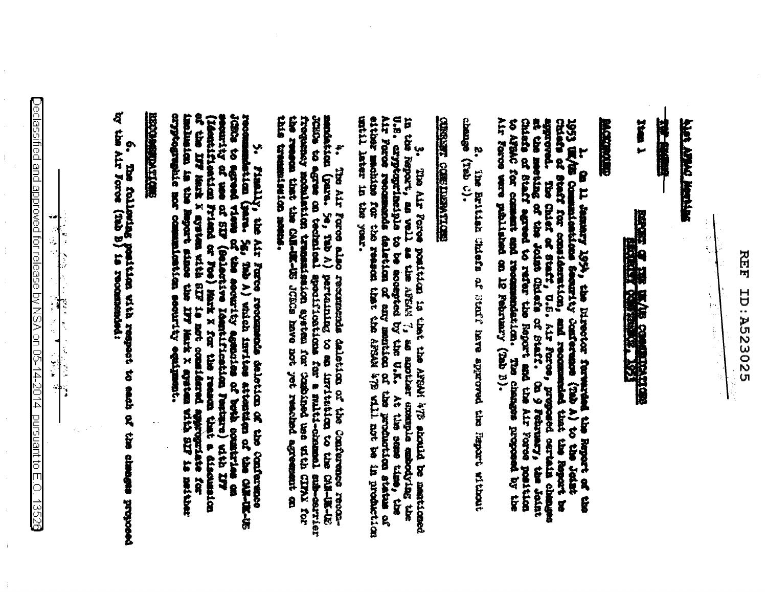모<br>면<br>면 **ID:A523025** 

 $rac{1}{3}$ ţ. th<br>P  $\hat{\mathbf{L}}$ 

**WELLING DATES SERV** 

24-645

**T MART** 假同 **C THE IMAGE COMMUNICATION** 

高度的表现

THE SOLUTION CONT to APSAC for comment and recommendation. The characteristic response of 1973 W/bs Commutentions Security Conference (2ab A) to the John John Lands Chination (2ab A) to the John John Chinese of Staff for consideration, and recommuted that the Reproduction of Staff and Staff and Staff and Staff on 11 January 1894, the External Terminals the Report of the aqq for pendoni software out

2. The British Chiefs af Stoff fers era approved the Proport Without chemic

## **CHROZIVARITISMO ZARVARO**

3. The Air Force position is that the AFSM's (F) should be meationed in the Report, as well as a difficultion of the second of the AFSM's (as a second and the second that the second the second of the second of the second

mendation (para. 5e, 7ab A) perteining to an invitation to the CMR-US JURG.<br>Just to agree on technical apositional for a multi-channal sub-cerrier<br>frequency mobulation transmission ayaten for Combined bee eith CIFAX for<br>th this transmittering.  $\ddot{\bullet}$ The Air Force also recommends dalletion on the Conference recom-

7, Finally, the Air Force recommends deleton de the component recommendation (para. Sg. Tab A) witch institute at tempta of the component of the component of the second views of the component of the component of the second cost appearance not 8 matical detrict egulig **RACCO** 

## **SECTION CONTRACTOR**

6. The following position with respect to each of the classes proposed

 $\bigcirc$ eclassified and approved for release by NSA on 05-14-2014. pursuant to E.O. 1352§ ŵæ

 $\mathcal{L}$